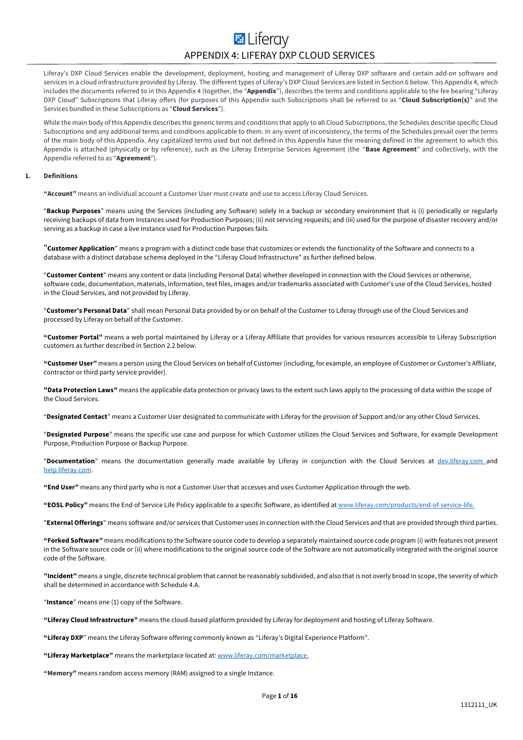## **E** Liferav APPENDIX 4: LIFERAY DXP CLOUD SERVICES

Liferay's DXP Cloud Services enable the development, deployment, hosting and management of Liferay DXP software and certain add-on software and services in a cloud infrastructure provided by Liferay. The different types of Liferay's DXP Cloud Services are listed in Section 6 below. This Appendix 4, which includes the documents referred to in this Appendix 4 (together, the "**Appendix**"), describes the terms and conditions applicable to the fee bearing "Liferay DXP Cloud" Subscriptions that Liferay offers (for purposes of this Appendix such Subscriptions shall be referred to as "**Cloud Subscription(s)**" and the Services bundled in these Subscriptions as "**Cloud Services**").

While the main body of this Appendix describes the generic terms and conditions that apply to all Cloud Subscriptions, the Schedules describe specific Cloud Subscriptions and any additional terms and conditions applicable to them. In any event of inconsistency, the terms of the Schedules prevail over the terms of the main body of this Appendix. Any capitalized terms used but not defined in this Appendix have the meaning defined in the agreement to which this Appendix is attached (physically or by reference), such as the Liferay Enterprise Services Agreement (the "**Base Agreement**" and collectively, with the Appendix referred to as "**Agreement**").

#### **1. Definitions**

**"Account"** means an individual account a Customer User must create and use to access Liferay Cloud Services.

"**Backup Purposes**" means using the Services (including any Software) solely in a backup or secondary environment that is (i) periodically or regularly receiving backups of data from Instances used for Production Purposes; (ii) not servicing requests; and (iii) used for the purpose of disaster recovery and/or serving as a backup in case a live Instance used for Production Purposes fails.

"**Customer Application**" means a program with a distinct code base that customizes or extends the functionality of the Software and connects to a database with a distinct database schema deployed in the "Liferay Cloud Infrastructure" as further defined below.

"**Customer Content**" means any content or data (including Personal Data) whether developed in connection with the Cloud Services or otherwise, software code, documentation, materials, information, text files, images and/or trademarks associated with Customer's use of the Cloud Services, hosted in the Cloud Services, and not provided by Liferay.

"**Customer's Personal Data**" shall mean Personal Data provided by or on behalf of the Customer to Liferay through use of the Cloud Services and processed by Liferay on behalf of the Customer.

**"Customer Portal"** means a web portal maintained by Liferay or a Liferay Affiliate that provides for various resources accessible to Liferay Subscription customers as further described in Section 2.2 below.

**"Customer User"** means a person using the Cloud Services on behalf of Customer (including, for example, an employee of Customer or Customer's Affiliate, contractor or third party service provider).

**"Data Protection Laws"** means the applicable data protection or privacy laws to the extent such laws apply to the processing of data within the scope of the Cloud Services.

"**Designated Contact**" means a Customer User designated to communicate with Liferay for the provision of Support and/or any other Cloud Services.

"**Designated Purpose**" means the specific use case and purpose for which Customer utilizes the Cloud Services and Software, for example Development Purpose, Production Purpose or Backup Purpose.

"**Documentation**" means the documentation generally made available by Liferay in conjunction with the Cloud Services at dev.liferay.com and help.liferay.com.

**"End User"** means any third party who is not a Customer User that accesses and uses Customer Application through the web.

**"EOSL Policy"** means the End of Service Life Policy applicable to a specific Software, as identified at www.liferay.com/products/end-of-service-life.

"**External Offerings**" means software and/or services that Customer uses in connection with the Cloud Services and that are provided through third parties.

**"Forked Software"** means modifications to the Software source code to develop a separately maintained source code program (i) with features not present in the Software source code or (ii) where modifications to the original source code of the Software are not automatically integrated with the original source code of the Software.

**"Incident"** means a single, discrete technical problem that cannot be reasonably subdivided, and also that is not overly broad in scope, the severity of which shall be determined in accordance with Schedule 4.A.

"**Instance**" means one (1) copy of the Software.

**"Liferay Cloud Infrastructure"** means the cloud-based platform provided by Liferay for deployment and hosting of Liferay Software.

**"Liferay DXP**" means the Liferay Software offering commonly known as "Liferay's Digital Experience Platform".

**"Liferay Marketplace"** means the marketplace located at: www.liferay.com/marketplace.

**"Memory"** means random access memory (RAM) assigned to a single Instance.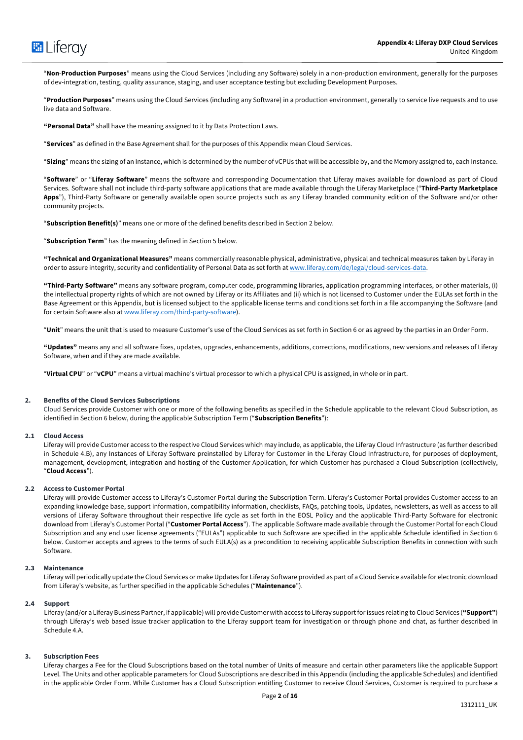

"**Non**-**Production Purposes**" means using the Cloud Services (including any Software) solely in a non-production environment, generally for the purposes of dev-integration, testing, quality assurance, staging, and user acceptance testing but excluding Development Purposes.

"**Production Purposes**" means using the Cloud Services (including any Software) in a production environment, generally to service live requests and to use live data and Software.

**"Personal Data"** shall have the meaning assigned to it by Data Protection Laws.

"**Services**" as defined in the Base Agreement shall for the purposes of this Appendix mean Cloud Services.

"**Sizing**" means the sizing of an Instance, which is determined by the number of vCPUs that will be accessible by, and the Memory assigned to, each Instance.

"**Software**" or "**Liferay Software**" means the software and corresponding Documentation that Liferay makes available for download as part of Cloud Services. Software shall not include third-party software applications that are made available through the Liferay Marketplace ("**Third-Party Marketplace Apps**"), Third-Party Software or generally available open source projects such as any Liferay branded community edition of the Software and/or other community projects.

"**Subscription Benefit(s)**" means one or more of the defined benefits described in Section 2 below.

"**Subscription Term**" has the meaning defined in Section 5 below.

**"Technical and Organizational Measures"** means commercially reasonable physical, administrative, physical and technical measures taken by Liferay in order to assure integrity, security and confidentiality of Personal Data as set forth at www.liferay.com/de/legal/cloud-services-data.

**"Third-Party Software"** means any software program, computer code, programming libraries, application programming interfaces, or other materials, (i) the intellectual property rights of which are not owned by Liferay or its Affiliates and (ii) which is not licensed to Customer under the EULAs set forth in the Base Agreement or this Appendix, but is licensed subject to the applicable license terms and conditions set forth in a file accompanying the Software (and for certain Software also at www.liferay.com/third-party-software).

"**Unit**" means the unit that is used to measure Customer's use of the Cloud Services as set forth in Section 6 or as agreed by the parties in an Order Form.

**"Updates"** means any and all software fixes, updates, upgrades, enhancements, additions, corrections, modifications, new versions and releases of Liferay Software, when and if they are made available.

"**Virtual CPU**" or "**vCPU**" means a virtual machine's virtual processor to which a physical CPU is assigned, in whole or in part.

#### **2. Benefits of the Cloud Services Subscriptions**

Cloud Services provide Customer with one or more of the following benefits as specified in the Schedule applicable to the relevant Cloud Subscription, as identified in Section 6 below, during the applicable Subscription Term ("**Subscription Benefits**"):

## **2.1 Cloud Access**

Liferay will provide Customer access to the respective Cloud Services which may include, as applicable, the Liferay Cloud Infrastructure (as further described in Schedule 4.B), any Instances of Liferay Software preinstalled by Liferay for Customer in the Liferay Cloud Infrastructure, for purposes of deployment, management, development, integration and hosting of the Customer Application, for which Customer has purchased a Cloud Subscription (collectively, "**Cloud Access**").

#### **2.2 Access to Customer Portal**

Liferay will provide Customer access to Liferay's Customer Portal during the Subscription Term. Liferay's Customer Portal provides Customer access to an expanding knowledge base, support information, compatibility information, checklists, FAQs, patching tools, Updates, newsletters, as well as access to all versions of Liferay Software throughout their respective life cycle as set forth in the EOSL Policy and the applicable Third-Party Software for electronic download from Liferay's Customer Portal ("**Customer Portal Access**"). The applicable Software made available through the Customer Portal for each Cloud Subscription and any end user license agreements ("EULAs") applicable to such Software are specified in the applicable Schedule identified in Section 6 below. Customer accepts and agrees to the terms of such EULA(s) as a precondition to receiving applicable Subscription Benefits in connection with such Software.

#### **2.3 Maintenance**

Liferay will periodically update the Cloud Services or make Updates for Liferay Software provided as part of a Cloud Service available for electronic download from Liferay's website, as further specified in the applicable Schedules ("**Maintenance**").

#### **2.4 Support**

Liferay (and/or a Liferay Business Partner, if applicable) will provide Customer with access to Liferay support for issues relating to Cloud Services (**"Support"**) through Liferay's web based issue tracker application to the Liferay support team for investigation or through phone and chat, as further described in Schedule 4.A.

#### **3. Subscription Fees**

Liferay charges a Fee for the Cloud Subscriptions based on the total number of Units of measure and certain other parameters like the applicable Support Level. The Units and other applicable parameters for Cloud Subscriptions are described in this Appendix (including the applicable Schedules) and identified in the applicable Order Form. While Customer has a Cloud Subscription entitling Customer to receive Cloud Services, Customer is required to purchase a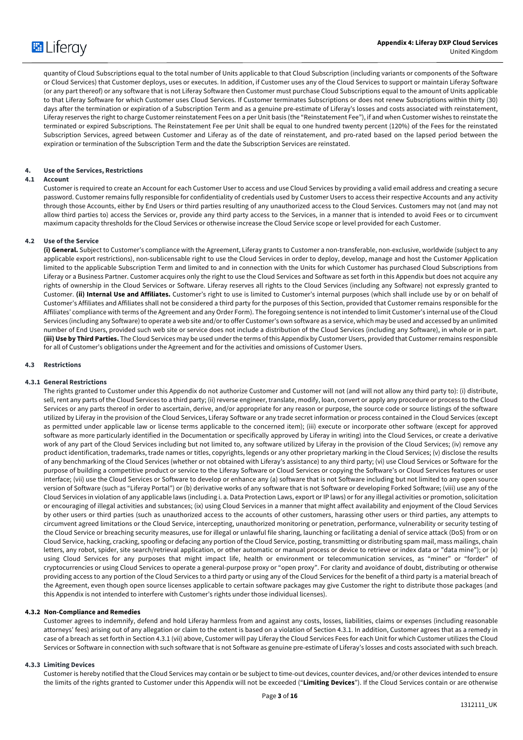

quantity of Cloud Subscriptions equal to the total number of Units applicable to that Cloud Subscription (including variants or components of the Software or Cloud Services) that Customer deploys, uses or executes. In addition, if Customer uses any of the Cloud Services to support or maintain Liferay Software (or any part thereof) or any software that is not Liferay Software then Customer must purchase Cloud Subscriptions equal to the amount of Units applicable to that Liferay Software for which Customer uses Cloud Services. If Customer terminates Subscriptions or does not renew Subscriptions within thirty (30) days after the termination or expiration of a Subscription Term and as a genuine pre-estimate of Liferay's losses and costs associated with reinstatement, Liferay reserves the right to charge Customer reinstatement Fees on a per Unit basis (the "Reinstatement Fee"), if and when Customer wishes to reinstate the terminated or expired Subscriptions. The Reinstatement Fee per Unit shall be equal to one hundred twenty percent (120%) of the Fees for the reinstated Subscription Services, agreed between Customer and Liferay as of the date of reinstatement, and pro-rated based on the lapsed period between the expiration or termination of the Subscription Term and the date the Subscription Services are reinstated.

#### **4. Use of the Services, Restrictions**

## **4.1 Account**

Customer is required to create an Account for each Customer User to access and use Cloud Services by providing a valid email address and creating a secure password. Customer remains fully responsible for confidentiality of credentials used by Customer Users to access their respective Accounts and any activity through those Accounts, either by End Users or third parties resulting of any unauthorized access to the Cloud Services. Customers may not (and may not allow third parties to) access the Services or, provide any third party access to the Services, in a manner that is intended to avoid Fees or to circumvent maximum capacity thresholds for the Cloud Services or otherwise increase the Cloud Service scope or level provided for each Customer.

#### **4.2 Use of the Service**

**(i) General.** Subject to Customer's compliance with the Agreement, Liferay grants to Customer a non-transferable, non-exclusive, worldwide (subject to any applicable export restrictions), non-sublicensable right to use the Cloud Services in order to deploy, develop, manage and host the Customer Application limited to the applicable Subscription Term and limited to and in connection with the Units for which Customer has purchased Cloud Subscriptions from Liferay or a Business Partner. Customer acquires only the right to use the Cloud Services and Software as set forth in this Appendix but does not acquire any rights of ownership in the Cloud Services or Software. Liferay reserves all rights to the Cloud Services (including any Software) not expressly granted to Customer. **(ii) Internal Use and Affiliates.** Customer's right to use is limited to Customer's internal purposes (which shall include use by or on behalf of Customer's Affiliates and Affiliates shall not be considered a third party for the purposes of this Section, provided that Customer remains responsible for the Affiliates' compliance with terms of the Agreement and any Order Form). The foregoing sentence is not intended to limit Customer's internal use of the Cloud Services (including any Software) to operate a web site and/or to offer Customer's own software as a service, which may be used and accessed by an unlimited number of End Users, provided such web site or service does not include a distribution of the Cloud Services (including any Software), in whole or in part. **(iii) Use by Third Parties.** The Cloud Services may be used under the terms of this Appendix by Customer Users, provided that Customer remains responsible for all of Customer's obligations under the Agreement and for the activities and omissions of Customer Users.

#### **4.3 Restrictions**

#### **4.3.1 General Restrictions**

The rights granted to Customer under this Appendix do not authorize Customer and Customer will not (and will not allow any third party to): (i) distribute, sell, rent any parts of the Cloud Services to a third party; (ii) reverse engineer, translate, modify, loan, convert or apply any procedure or process to the Cloud Services or any parts thereof in order to ascertain, derive, and/or appropriate for any reason or purpose, the source code or source listings of the software utilized by Liferay in the provision of the Cloud Services, Liferay Software or any trade secret information or process contained in the Cloud Services (except as permitted under applicable law or license terms applicable to the concerned item); (iii) execute or incorporate other software (except for approved software as more particularly identified in the Documentation or specifically approved by Liferay in writing) into the Cloud Services, or create a derivative work of any part of the Cloud Services including but not limited to, any software utilized by Liferay in the provision of the Cloud Services; (iv) remove any product identification, trademarks, trade names or titles, copyrights, legends or any other proprietary marking in the Cloud Services; (v) disclose the results of any benchmarking of the Cloud Services (whether or not obtained with Liferay's assistance) to any third party; (vi) use Cloud Services or Software for the purpose of building a competitive product or service to the Liferay Software or Cloud Services or copying the Software's or Cloud Services features or user interface; (vii) use the Cloud Services or Software to develop or enhance any (a) software that is not Software including but not limited to any open source version of Software (such as "Liferay Portal") or (b) derivative works of any software that is not Software or developing Forked Software; (viii) use any of the Cloud Services in violation of any applicable laws (including i. a. Data Protection Laws, export or IP laws) or for any illegal activities or promotion, solicitation or encouraging of illegal activities and substances; (ix) using Cloud Services in a manner that might affect availability and enjoyment of the Cloud Services by other users or third parties (such as unauthorized access to the accounts of other customers, harassing other users or third parties, any attempts to circumvent agreed limitations or the Cloud Service, intercepting, unauthorized monitoring or penetration, performance, vulnerability or security testing of the Cloud Service or breaching security measures, use for illegal or unlawful file sharing, launching or facilitating a denial of service attack (DoS) from or on Cloud Service, hacking, cracking, spoofing or defacing any portion of the Cloud Service, posting, transmitting or distributing spam mail, mass mailings, chain letters, any robot, spider, site search/retrieval application, or other automatic or manual process or device to retrieve or index data or "data mine"); or (x) using Cloud Services for any purposes that might impact life, health or environment or telecommunication services, as "miner" or "forder" of cryptocurrencies or using Cloud Services to operate a general-purpose proxy or "open proxy". For clarity and avoidance of doubt, distributing or otherwise providing access to any portion of the Cloud Services to a third party or using any of the Cloud Services for the benefit of a third party is a material breach of the Agreement, even though open source licenses applicable to certain software packages may give Customer the right to distribute those packages (and this Appendix is not intended to interfere with Customer's rights under those individual licenses).

#### **4.3.2 Non-Compliance and Remedies**

Customer agrees to indemnify, defend and hold Liferay harmless from and against any costs, losses, liabilities, claims or expenses (including reasonable attorneys' fees) arising out of any allegation or claim to the extent is based on a violation of Section 4.3.1. In addition, Customer agrees that as a remedy in case of a breach as set forth in Section 4.3.1 (vii) above, Customer will pay Liferay the Cloud Services Fees for each Unit for which Customer utilizes the Cloud Services or Software in connection with such software that is not Software as genuine pre-estimate of Liferay's losses and costs associated with such breach.

#### **4.3.3 Limiting Devices**

Customer is hereby notified that the Cloud Services may contain or be subject to time-out devices, counter devices, and/or other devices intended to ensure the limits of the rights granted to Customer under this Appendix will not be exceeded ("**Limiting Devices**"). If the Cloud Services contain or are otherwise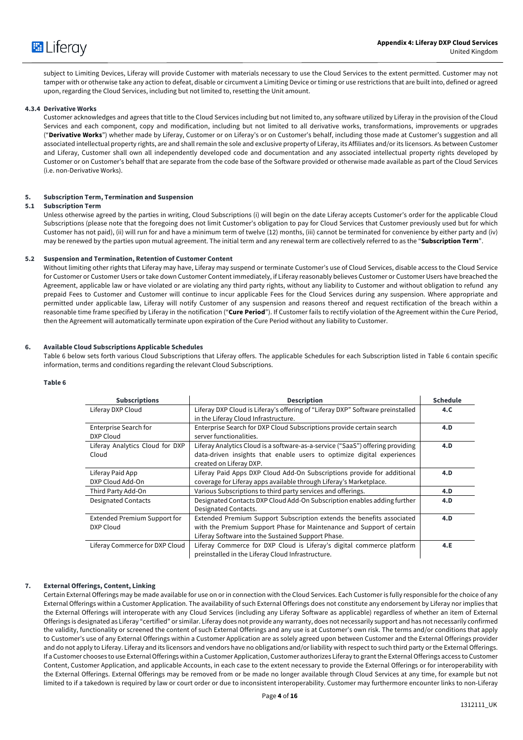

subject to Limiting Devices, Liferay will provide Customer with materials necessary to use the Cloud Services to the extent permitted. Customer may not tamper with or otherwise take any action to defeat, disable or circumvent a Limiting Device or timing or use restrictions that are built into, defined or agreed upon, regarding the Cloud Services, including but not limited to, resetting the Unit amount.

#### **4.3.4 Derivative Works**

Customer acknowledges and agrees that title to the Cloud Services including but not limited to, any software utilized by Liferay in the provision of the Cloud Services and each component, copy and modification, including but not limited to all derivative works, transformations, improvements or upgrades ("**Derivative Works**") whether made by Liferay, Customer or on Liferay's or on Customer's behalf, including those made at Customer's suggestion and all associated intellectual property rights, are and shall remain the sole and exclusive property of Liferay, its Affiliates and/or its licensors. As between Customer and Liferay, Customer shall own all independently developed code and documentation and any associated intellectual property rights developed by Customer or on Customer's behalf that are separate from the code base of the Software provided or otherwise made available as part of the Cloud Services (i.e. non-Derivative Works).

#### **5. Subscription Term, Termination and Suspension**

## **5.1 Subscription Term**

Unless otherwise agreed by the parties in writing, Cloud Subscriptions (i) will begin on the date Liferay accepts Customer's order for the applicable Cloud Subscriptions (please note that the foregoing does not limit Customer's obligation to pay for Cloud Services that Customer previously used but for which Customer has not paid), (ii) will run for and have a minimum term of twelve (12) months, (iii) cannot be terminated for convenience by either party and (iv) may be renewed by the parties upon mutual agreement. The initial term and any renewal term are collectively referred to as the "**Subscription Term**".

#### **5.2 Suspension and Termination, Retention of Customer Content**

Without limiting other rights that Liferay may have, Liferay may suspend or terminate Customer's use of Cloud Services, disable access to the Cloud Service for Customer or Customer Users or take down Customer Content immediately, if Liferay reasonably believes Customer or Customer Users have breached the Agreement, applicable law or have violated or are violating any third party rights, without any liability to Customer and without obligation to refund any prepaid Fees to Customer and Customer will continue to incur applicable Fees for the Cloud Services during any suspension. Where appropriate and permitted under applicable law, Liferay will notify Customer of any suspension and reasons thereof and request rectification of the breach within a reasonable time frame specified by Liferay in the notification ("**Cure Period**"). If Customer fails to rectify violation of the Agreement within the Cure Period, then the Agreement will automatically terminate upon expiration of the Cure Period without any liability to Customer.

#### **6. Available Cloud Subscriptions Applicable Schedules**

Table 6 below sets forth various Cloud Subscriptions that Liferay offers. The applicable Schedules for each Subscription listed in Table 6 contain specific information, terms and conditions regarding the relevant Cloud Subscriptions.

## **Table 6**

| <b>Subscriptions</b>                | <b>Description</b>                                                             | <b>Schedule</b> |
|-------------------------------------|--------------------------------------------------------------------------------|-----------------|
| Liferay DXP Cloud                   | Liferay DXP Cloud is Liferay's offering of "Liferay DXP" Software preinstalled | 4.C.            |
|                                     | in the Liferay Cloud Infrastructure.                                           |                 |
| Enterprise Search for               | Enterprise Search for DXP Cloud Subscriptions provide certain search           | 4.D             |
| DXP Cloud                           | server functionalities.                                                        |                 |
| Liferay Analytics Cloud for DXP     | Liferay Analytics Cloud is a software-as-a-service ("SaaS") offering providing | 4.D             |
| Cloud                               | data-driven insights that enable users to optimize digital experiences         |                 |
|                                     | created on Liferay DXP.                                                        |                 |
| Liferay Paid App                    | Liferay Paid Apps DXP Cloud Add-On Subscriptions provide for additional        | 4.D             |
| DXP Cloud Add-On                    | coverage for Liferay apps available through Liferay's Marketplace.             |                 |
| Third Party Add-On                  | Various Subscriptions to third party services and offerings.                   | 4.D             |
| <b>Designated Contacts</b>          | Designated Contacts DXP Cloud Add-On Subscription enables adding further       | 4.D             |
|                                     | Designated Contacts.                                                           |                 |
| <b>Extended Premium Support for</b> | Extended Premium Support Subscription extends the benefits associated          | 4.D             |
| DXP Cloud                           | with the Premium Support Phase for Maintenance and Support of certain          |                 |
|                                     | Liferay Software into the Sustained Support Phase.                             |                 |
| Liferay Commerce for DXP Cloud      | Liferay Commerce for DXP Cloud is Liferay's digital commerce platform          | 4.E             |
|                                     | preinstalled in the Liferay Cloud Infrastructure.                              |                 |

**7. External Offerings, Content, Linking**

Certain External Offerings may be made available for use on or in connection with the Cloud Services. Each Customer is fully responsible for the choice of any External Offerings within a Customer Application. The availability of such External Offerings does not constitute any endorsement by Liferay nor implies that the External Offerings will interoperate with any Cloud Services (including any Liferay Software as applicable) regardless of whether an item of External Offerings is designated as Liferay "certified" or similar. Liferay does not provide any warranty, does not necessarily support and has not necessarily confirmed the validity, functionality or screened the content of such External Offerings and any use is at Customer's own risk. The terms and/or conditions that apply to Customer's use of any External Offerings within a Customer Application are as solely agreed upon between Customer and the External Offerings provider and do not apply to Liferay. Liferay and its licensors and vendors have no obligations and/or liability with respect to such third party or the External Offerings. If a Customer chooses to use External Offerings within a Customer Application, Customer authorizes Liferay to grant the External Offerings access to Customer Content, Customer Application, and applicable Accounts, in each case to the extent necessary to provide the External Offerings or for interoperability with the External Offerings. External Offerings may be removed from or be made no longer available through Cloud Services at any time, for example but not limited to if a takedown is required by law or court order or due to inconsistent interoperability. Customer may furthermore encounter links to non-Liferay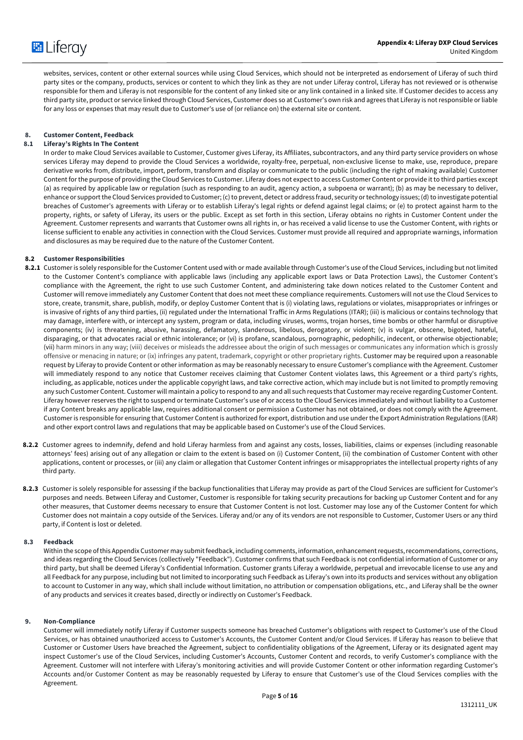

websites, services, content or other external sources while using Cloud Services, which should not be interpreted as endorsement of Liferay of such third party sites or the company, products, services or content to which they link as they are not under Liferay control, Liferay has not reviewed or is otherwise responsible for them and Liferay is not responsible for the content of any linked site or any link contained in a linked site. If Customer decides to access any third party site, product or service linked through Cloud Services, Customer does so at Customer's own risk and agrees that Liferay is not responsible or liable for any loss or expenses that may result due to Customer's use of (or reliance on) the external site or content.

## **8. Customer Content, Feedback**

## **8.1 Liferay's Rights In The Content**

In order to make Cloud Services available to Customer, Customer gives Liferay, its Affiliates, subcontractors, and any third party service providers on whose services Liferay may depend to provide the Cloud Services a worldwide, royalty-free, perpetual, non-exclusive license to make, use, reproduce, prepare derivative works from, distribute, import, perform, transform and display or communicate to the public (including the right of making available) Customer Content for the purpose of providing the Cloud Services to Customer. Liferay does not expect to access Customer Content or provide it to third parties except (a) as required by applicable law or regulation (such as responding to an audit, agency action, a subpoena or warrant); (b) as may be necessary to deliver, enhance or support the Cloud Services provided to Customer; (c) to prevent, detect or address fraud, security or technology issues; (d) to investigate potential breaches of Customer's agreements with Liferay or to establish Liferay's legal rights or defend against legal claims; or (e) to protect against harm to the property, rights, or safety of Liferay, its users or the public. Except as set forth in this section, Liferay obtains no rights in Customer Content under the Agreement. Customer represents and warrants that Customer owns all rights in, or has received a valid license to use the Customer Content, with rights or license sufficient to enable any activities in connection with the Cloud Services. Customer must provide all required and appropriate warnings, information and disclosures as may be required due to the nature of the Customer Content.

### **8.2 Customer Responsibilities**

- 8.2.1 Customer is solely responsible for the Customer Content used with or made available through Customer's use of the Cloud Services, including but not limited to the Customer Content's compliance with applicable laws (including any applicable export laws or Data Protection Laws), the Customer Content's compliance with the Agreement, the right to use such Customer Content, and administering take down notices related to the Customer Content and Customer will remove immediately any Customer Content that does not meet these compliance requirements. Customers will not use the Cloud Services to store, create, transmit, share, publish, modify, or deploy Customer Content that is (i) violating laws, regulations or violates, misappropriates or infringes or is invasive of rights of any third parties, (ii) regulated under the International Traffic in Arms Regulations (ITAR); (iii) is malicious or contains technology that may damage, interfere with, or intercept any system, program or data, including viruses, worms, trojan horses, time bombs or other harmful or disruptive components; (iv) is threatening, abusive, harassing, defamatory, slanderous, libelous, derogatory, or violent; (v) is vulgar, obscene, bigoted, hateful, disparaging, or that advocates racial or ethnic intolerance; or (vi) is profane, scandalous, pornographic, pedophilic, indecent, or otherwise objectionable; (vii) harm minors in any way; (viii) deceives or misleads the addressee about the origin of such messages or communicates any information which is grossly offensive or menacing in nature; or (ix) infringes any patent, trademark, copyright or other proprietary rights. Customer may be required upon a reasonable request by Liferay to provide Content or other information as may be reasonably necessary to ensure Customer's compliance with the Agreement. Customer will immediately respond to any notice that Customer receives claiming that Customer Content violates laws, this Agreement or a third party's rights, including, as applicable, notices under the applicable copyright laws, and take corrective action, which may include but is not limited to promptly removing any such Customer Content. Customer will maintain a policy to respond to any and all such requests that Customer may receive regarding Customer Content. Liferay however reserves the right to suspend or terminate Customer's use of or access to the Cloud Services immediately and without liability to a Customer if any Content breaks any applicable law, requires additional consent or permission a Customer has not obtained, or does not comply with the Agreement. Customer is responsible for ensuring that Customer Content is authorized for export, distribution and use under the Export Administration Regulations (EAR) and other export control laws and regulations that may be applicable based on Customer's use of the Cloud Services.
- **8.2.2** Customer agrees to indemnify, defend and hold Liferay harmless from and against any costs, losses, liabilities, claims or expenses (including reasonable attorneys' fees) arising out of any allegation or claim to the extent is based on (i) Customer Content, (ii) the combination of Customer Content with other applications, content or processes, or (iii) any claim or allegation that Customer Content infringes or misappropriates the intellectual property rights of any third party.
- **8.2.3** Customer is solely responsible for assessing if the backup functionalities that Liferay may provide as part of the Cloud Services are sufficient for Customer's purposes and needs. Between Liferay and Customer, Customer is responsible for taking security precautions for backing up Customer Content and for any other measures, that Customer deems necessary to ensure that Customer Content is not lost. Customer may lose any of the Customer Content for which Customer does not maintain a copy outside of the Services. Liferay and/or any of its vendors are not responsible to Customer, Customer Users or any third party, if Content is lost or deleted.

#### **8.3 Feedback**

Within the scope of this Appendix Customer may submit feedback, including comments, information, enhancement requests, recommendations, corrections, and ideas regarding the Cloud Services (collectively "Feedback"). Customer confirms that such Feedback is not confidential information of Customer or any third party, but shall be deemed Liferay's Confidential Information. Customer grants Liferay a worldwide, perpetual and irrevocable license to use any and all Feedback for any purpose, including but not limited to incorporating such Feedback as Liferay's own into its products and services without any obligation to account to Customer in any way, which shall include without limitation, no attribution or compensation obligations, etc., and Liferay shall be the owner of any products and services it creates based, directly or indirectly on Customer's Feedback.

#### **9. Non-Compliance**

Customer will immediately notify Liferay if Customer suspects someone has breached Customer's obligations with respect to Customer's use of the Cloud Services, or has obtained unauthorized access to Customer's Accounts, the Customer Content and/or Cloud Services. If Liferay has reason to believe that Customer or Customer Users have breached the Agreement, subject to confidentiality obligations of the Agreement, Liferay or its designated agent may inspect Customer's use of the Cloud Services, including Customer's Accounts, Customer Content and records, to verify Customer's compliance with the Agreement. Customer will not interfere with Liferay's monitoring activities and will provide Customer Content or other information regarding Customer's Accounts and/or Customer Content as may be reasonably requested by Liferay to ensure that Customer's use of the Cloud Services complies with the Agreement.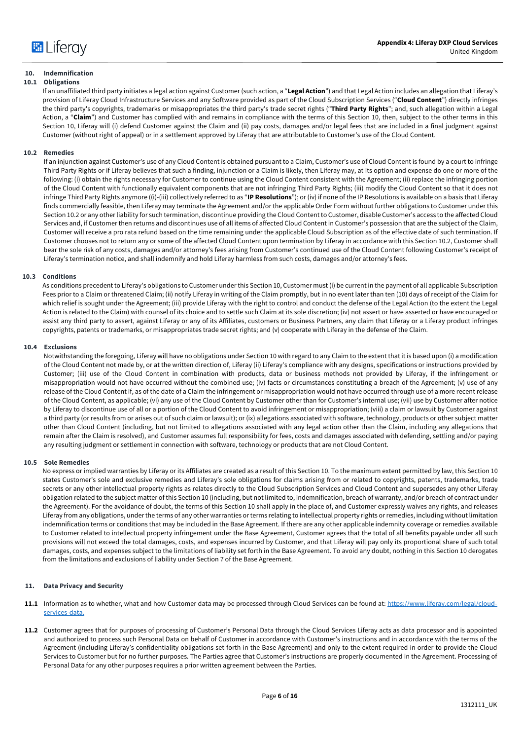## **10. Indemnification**

## **10.1 Obligations**

If an unaffiliated third party initiates a legal action against Customer (such action, a "**Legal Action**") and that Legal Action includes an allegation that Liferay's provision of Liferay Cloud Infrastructure Services and any Software provided as part of the Cloud Subscription Services ("**Cloud Content**") directly infringes the third party's copyrights, trademarks or misappropriates the third party's trade secret rights ("**Third Party Rights**"; and, such allegation within a Legal Action, a "**Claim**") and Customer has complied with and remains in compliance with the terms of this Section 10, then, subject to the other terms in this Section 10, Liferay will (i) defend Customer against the Claim and (ii) pay costs, damages and/or legal fees that are included in a final judgment against Customer (without right of appeal) or in a settlement approved by Liferay that are attributable to Customer's use of the Cloud Content.

#### **10.2 Remedies**

If an injunction against Customer's use of any Cloud Content is obtained pursuant to a Claim, Customer's use of Cloud Content is found by a court to infringe Third Party Rights or if Liferay believes that such a finding, injunction or a Claim is likely, then Liferay may, at its option and expense do one or more of the following: (i) obtain the rights necessary for Customer to continue using the Cloud Content consistent with the Agreement; (ii) replace the infringing portion of the Cloud Content with functionally equivalent components that are not infringing Third Party Rights; (iii) modify the Cloud Content so that it does not infringe Third Party Rights anymore ((i)-(iii) collectively referred to as "**IP Resolutions**"); or (iv) if none of the IP Resolutions is available on a basis that Liferay finds commercially feasible, then Liferay may terminate the Agreement and/or the applicable Order Form without further obligations to Customer under this Section 10.2 or any other liability for such termination, discontinue providing the Cloud Content to Customer, disable Customer's access to the affected Cloud Services and, if Customer then returns and discontinues use of all items of affected Cloud Content in Customer's possession that are the subject of the Claim, Customer will receive a pro rata refund based on the time remaining under the applicable Cloud Subscription as of the effective date of such termination. If Customer chooses not to return any or some of the affected Cloud Content upon termination by Liferay in accordance with this Section 10.2, Customer shall bear the sole risk of any costs, damages and/or attorney's fees arising from Customer's continued use of the Cloud Content following Customer's receipt of Liferay's termination notice, and shall indemnify and hold Liferay harmless from such costs, damages and/or attorney's fees.

#### **10.3 Conditions**

As conditions precedent to Liferay's obligations to Customer under this Section 10, Customer must (i) be current in the payment of all applicable Subscription Fees prior to a Claim or threatened Claim; (ii) notify Liferay in writing of the Claim promptly, but in no event later than ten (10) days of receipt of the Claim for which relief is sought under the Agreement; (iii) provide Liferay with the right to control and conduct the defense of the Legal Action (to the extent the Legal Action is related to the Claim) with counsel of its choice and to settle such Claim at its sole discretion; (iv) not assert or have asserted or have encouraged or assist any third party to assert, against Liferay or any of its Affiliates, customers or Business Partners, any claim that Liferay or a Liferay product infringes copyrights, patents or trademarks, or misappropriates trade secret rights; and (v) cooperate with Liferay in the defense of the Claim.

#### **10.4 Exclusions**

Notwithstanding the foregoing, Liferay will have no obligations under Section 10 with regard to any Claim to the extent that it is based upon (i) a modification of the Cloud Content not made by, or at the written direction of, Liferay (ii) Liferay's compliance with any designs, specifications or instructions provided by Customer; (iii) use of the Cloud Content in combination with products, data or business methods not provided by Liferay, if the infringement or misappropriation would not have occurred without the combined use; (iv) facts or circumstances constituting a breach of the Agreement; (v) use of any release of the Cloud Content if, as of the date of a Claim the infringement or misappropriation would not have occurred through use of a more recent release of the Cloud Content, as applicable; (vi) any use of the Cloud Content by Customer other than for Customer's internal use; (vii) use by Customer after notice by Liferay to discontinue use of all or a portion of the Cloud Content to avoid infringement or misappropriation; (viii) a claim or lawsuit by Customer against a third party (or results from or arises out of such claim or lawsuit); or (ix) allegations associated with software, technology, products or other subject matter other than Cloud Content (including, but not limited to allegations associated with any legal action other than the Claim, including any allegations that remain after the Claim is resolved), and Customer assumes full responsibility for fees, costs and damages associated with defending, settling and/or paying any resulting judgment or settlement in connection with software, technology or products that are not Cloud Content.

#### **10.5 Sole Remedies**

No express or implied warranties by Liferay or its Affiliates are created as a result of this Section 10. To the maximum extent permitted by law, this Section 10 states Customer's sole and exclusive remedies and Liferay's sole obligations for claims arising from or related to copyrights, patents, trademarks, trade secrets or any other intellectual property rights as relates directly to the Cloud Subscription Services and Cloud Content and supersedes any other Liferay obligation related to the subject matter of this Section 10 (including, but not limited to, indemnification, breach of warranty, and/or breach of contract under the Agreement). For the avoidance of doubt, the terms of this Section 10 shall apply in the place of, and Customer expressly waives any rights, and releases Liferay from any obligations, under the terms of any other warranties or terms relating to intellectual property rights or remedies, including without limitation indemnification terms or conditions that may be included in the Base Agreement. If there are any other applicable indemnity coverage or remedies available to Customer related to intellectual property infringement under the Base Agreement, Customer agrees that the total of all benefits payable under all such provisions will not exceed the total damages, costs, and expenses incurred by Customer, and that Liferay will pay only its proportional share of such total damages, costs, and expenses subject to the limitations of liability set forth in the Base Agreement. To avoid any doubt, nothing in this Section 10 derogates from the limitations and exclusions of liability under Section 7 of the Base Agreement.

#### **11. Data Privacy and Security**

- **11.1** Information as to whether, what and how Customer data may be processed through Cloud Services can be found at: https://www.liferay.com/legal/cloudservices-data.
- **11.2** Customer agrees that for purposes of processing of Customer's Personal Data through the Cloud Services Liferay acts as data processor and is appointed and authorized to process such Personal Data on behalf of Customer in accordance with Customer's instructions and in accordance with the terms of the Agreement (including Liferay's confidentiality obligations set forth in the Base Agreement) and only to the extent required in order to provide the Cloud Services to Customer but for no further purposes. The Parties agree that Customer's instructions are properly documented in the Agreement. Processing of Personal Data for any other purposes requires a prior written agreement between the Parties.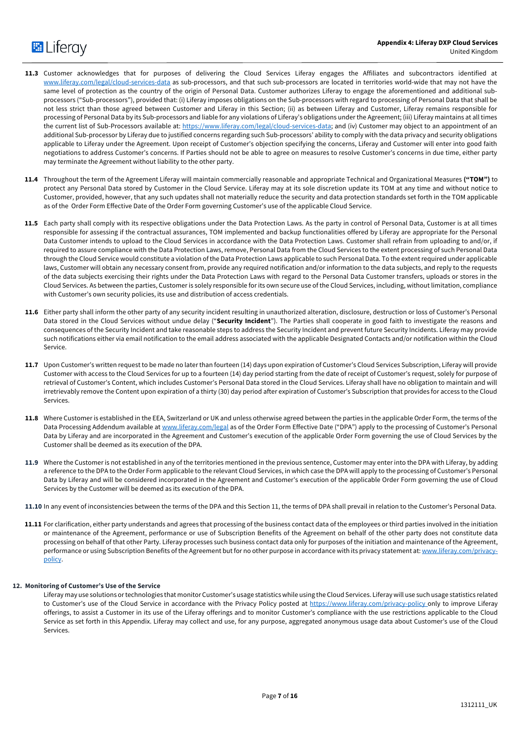# **E** Liferay

- **11.3** Customer acknowledges that for purposes of delivering the Cloud Services Liferay engages the Affiliates and subcontractors identified at www.liferay.com/legal/cloud-services-data as sub-processors, and that such sub-processors are located in territories world-wide that may not have the same level of protection as the country of the origin of Personal Data. Customer authorizes Liferay to engage the aforementioned and additional subprocessors ("Sub-processors"), provided that: (i) Liferay imposes obligations on the Sub-processors with regard to processing of Personal Data that shall be not less strict than those agreed between Customer and Liferay in this Section; (ii) as between Liferay and Customer, Liferay remains responsible for processing of Personal Data by its Sub-processors and liable for any violations of Liferay's obligations under the Agreement; (iii) Liferay maintains at all times the current list of Sub-Processors available at: https://www.liferay.com/legal/cloud-services-data; and (iv) Customer may object to an appointment of an additional Sub-processor by Liferay due to justified concerns regarding such Sub-processors' ability to comply with the data privacy and security obligations applicable to Liferay under the Agreement. Upon receipt of Customer's objection specifying the concerns, Liferay and Customer will enter into good faith negotiations to address Customer's concerns. If Parties should not be able to agree on measures to resolve Customer's concerns in due time, either party may terminate the Agreement without liability to the other party.
- **11.4** Throughout the term of the Agreement Liferay will maintain commercially reasonable and appropriate Technical and Organizational Measures **("TOM")** to protect any Personal Data stored by Customer in the Cloud Service. Liferay may at its sole discretion update its TOM at any time and without notice to Customer, provided, however, that any such updates shall not materially reduce the security and data protection standards set forth in the TOM applicable as of the Order Form Effective Date of the Order Form governing Customer's use of the applicable Cloud Service.
- **11.5** Each party shall comply with its respective obligations under the Data Protection Laws. As the party in control of Personal Data, Customer is at all times responsible for assessing if the contractual assurances, TOM implemented and backup functionalities offered by Liferay are appropriate for the Personal Data Customer intends to upload to the Cloud Services in accordance with the Data Protection Laws. Customer shall refrain from uploading to and/or, if required to assure compliance with the Data Protection Laws, remove, Personal Data from the Cloud Services to the extent processing of such Personal Data through the Cloud Service would constitute a violation of the Data Protection Laws applicable to such Personal Data. To the extent required under applicable laws, Customer will obtain any necessary consent from, provide any required notification and/or information to the data subjects, and reply to the requests of the data subjects exercising their rights under the Data Protection Laws with regard to the Personal Data Customer transfers, uploads or stores in the Cloud Services. As between the parties, Customer is solely responsible for its own secure use of the Cloud Services, including, without limitation, compliance with Customer's own security policies, its use and distribution of access credentials.
- **11.6** Either party shall inform the other party of any security incident resulting in unauthorized alteration, disclosure, destruction or loss of Customer's Personal Data stored in the Cloud Services without undue delay ("**Security Incident**"). The Parties shall cooperate in good faith to investigate the reasons and consequences of the Security Incident and take reasonable steps to address the Security Incident and prevent future Security Incidents. Liferay may provide such notifications either via email notification to the email address associated with the applicable Designated Contacts and/or notification within the Cloud Service.
- **11.7** Upon Customer's written request to be made no later than fourteen (14) days upon expiration of Customer's Cloud Services Subscription, Liferay will provide Customer with access to the Cloud Services for up to a fourteen (14) day period starting from the date of receipt of Customer's request, solely for purpose of retrieval of Customer's Content, which includes Customer's Personal Data stored in the Cloud Services. Liferay shall have no obligation to maintain and will irretrievably remove the Content upon expiration of a thirty (30) day period after expiration of Customer's Subscription that provides for access to the Cloud Services.
- **11.8** Where Customer is established in the EEA, Switzerland or UK and unless otherwise agreed between the parties in the applicable Order Form, the terms of the Data Processing Addendum available at www.liferay.com/legal as of the Order Form Effective Date ("DPA") apply to the processing of Customer's Personal Data by Liferay and are incorporated in the Agreement and Customer's execution of the applicable Order Form governing the use of Cloud Services by the Customer shall be deemed as its execution of the DPA.
- **11.9** Where the Customer is not established in any of the territories mentioned in the previous sentence, Customer may enter into the DPA with Liferay, by adding a reference to the DPA to the Order Form applicable to the relevant Cloud Services, in which case the DPA will apply to the processing of Customer's Personal Data by Liferay and will be considered incorporated in the Agreement and Customer's execution of the applicable Order Form governing the use of Cloud Services by the Customer will be deemed as its execution of the DPA.
- **11.10** In any event of inconsistencies between the terms of the DPA and this Section 11, the terms of DPA shall prevail in relation to the Customer's Personal Data.
- **11.11** For clarification, either party understands and agrees that processing of the business contact data of the employees or third parties involved in the initiation or maintenance of the Agreement, performance or use of Subscription Benefits of the Agreement on behalf of the other party does not constitute data processing on behalf of that other Party. Liferay processes such business contact data only for purposes of the initiation and maintenance of the Agreement, performance or using Subscription Benefits of the Agreement but for no other purpose in accordance with its privacy statement at: www.liferay.com/privacypolicy.

## **12. Monitoring of Customer's Use of the Service**

Liferay may use solutions or technologies that monitor Customer's usage statistics while using the Cloud Services. Liferay will use such usage statistics related to Customer's use of the Cloud Service in accordance with the Privacy Policy posted at https://www.liferay.com/privacy-policy only to improve Liferay offerings, to assist a Customer in its use of the Liferay offerings and to monitor Customer's compliance with the use restrictions applicable to the Cloud Service as set forth in this Appendix. Liferay may collect and use, for any purpose, aggregated anonymous usage data about Customer's use of the Cloud Services.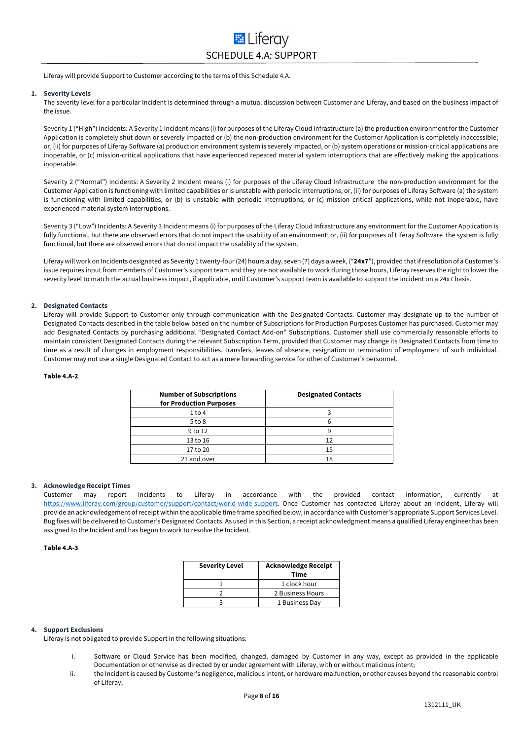## **E** Liferay SCHEDULE 4.A: SUPPORT

Liferay will provide Support to Customer according to the terms of this Schedule 4.A.

#### **1. Severity Levels**

The severity level for a particular Incident is determined through a mutual discussion between Customer and Liferay, and based on the business impact of the issue.

Severity 1 ("High") Incidents: A Severity 1 Incident means (i) for purposes of the Liferay Cloud Infrastructure (a) the production environment for the Customer Application is completely shut down or severely impacted or (b) the non-production environment for the Customer Application is completely inaccessible; or, (ii) for purposes of Liferay Software (a) production environment system is severely impacted, or (b) system operations or mission-critical applications are inoperable, or (c) mission-critical applications that have experienced repeated material system interruptions that are effectively making the applications inoperable.

Severity 2 ("Normal") Incidents: A Severity 2 Incident means (i) for purposes of the Liferay Cloud Infrastructure the non-production environment for the Customer Application is functioning with limited capabilities or is unstable with periodic interruptions; or, (ii) for purposes of Liferay Software (a) the system is functioning with limited capabilities, or (b) is unstable with periodic interruptions, or (c) mission critical applications, while not inoperable, have experienced material system interruptions.

Severity 3 ("Low") Incidents: A Severity 3 Incident means (i) for purposes of the Liferay Cloud Infrastructure any environment for the Customer Application is fully functional, but there are observed errors that do not impact the usability of an environment; or, (ii) for purposes of Liferay Software the system is fully functional, but there are observed errors that do not impact the usability of the system.

Liferay will work on Incidents designated as Severity 1 twenty-four (24) hours a day, seven (7) days a week, ("**24x7**"), provided that if resolution of a Customer's issue requires input from members of Customer's support team and they are not available to work during those hours, Liferay reserves the right to lower the severity level to match the actual business impact, if applicable, until Customer's support team is available to support the incident on a 24x7 basis.

#### **2. Designated Contacts**

Liferay will provide Support to Customer only through communication with the Designated Contacts. Customer may designate up to the number of Designated Contacts described in the table below based on the number of Subscriptions for Production Purposes Customer has purchased. Customer may add Designated Contacts by purchasing additional "Designated Contact Add-on" Subscriptions. Customer shall use commercially reasonable efforts to maintain consistent Designated Contacts during the relevant Subscription Term, provided that Customer may change its Designated Contacts from time to time as a result of changes in employment responsibilities, transfers, leaves of absence, resignation or termination of employment of such individual. Customer may not use a single Designated Contact to act as a mere forwarding service for other of Customer's personnel.

#### **Table 4.A-2**

| <b>Number of Subscriptions</b><br>for Production Purposes | <b>Designated Contacts</b> |
|-----------------------------------------------------------|----------------------------|
| $1$ to 4                                                  |                            |
| $5$ to $8$                                                |                            |
| 9 to 12                                                   |                            |
| 13 to 16                                                  | 12                         |
| 17 to 20                                                  | 15                         |
| 21 and over                                               | 18                         |

#### **3. Acknowledge Receipt Times**

Customer may report Incidents to Liferay in accordance with the provided contact information, currently at https://www.liferay.com/group/customer/support/contact/world-wide-support. Once Customer has contacted Liferay about an Incident, Liferay will provide an acknowledgement of receipt within the applicable time frame specified below, in accordance with Customer's appropriate Support Services Level. Bug fixes will be delivered to Customer's Designated Contacts. As used in this Section, a receipt acknowledgment means a qualified Liferay engineer has been assigned to the Incident and has begun to work to resolve the Incident.

#### **Table 4.A-3**

| <b>Severity Level</b> | <b>Acknowledge Receipt</b><br>Time |
|-----------------------|------------------------------------|
|                       | 1 clock hour                       |
|                       | 2 Business Hours                   |
|                       | 1 Business Day                     |

## **4. Support Exclusions**

Liferay is not obligated to provide Support in the following situations:

- i. Software or Cloud Service has been modified, changed, damaged by Customer in any way, except as provided in the applicable Documentation or otherwise as directed by or under agreement with Liferay, with or without malicious intent;
- ii. the Incident is caused by Customer's negligence, malicious intent, or hardware malfunction, or other causes beyond the reasonable control of Liferay;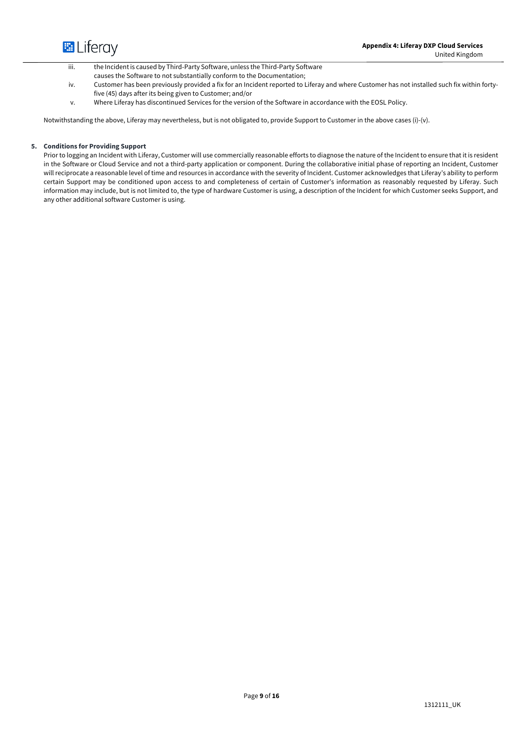

iii. the Incident is caused by Third-Party Software, unless the Third-Party Software

- causes the Software to not substantially conform to the Documentation;
- iv. Customer has been previously provided a fix for an Incident reported to Liferay and where Customer has not installed such fix within fortyfive (45) days after its being given to Customer; and/or
- v. Where Liferay has discontinued Services for the version of the Software in accordance with the EOSL Policy.

Notwithstanding the above, Liferay may nevertheless, but is not obligated to, provide Support to Customer in the above cases (i)-(v).

## **5. Conditions for Providing Support**

Prior to logging an Incident with Liferay, Customer will use commercially reasonable efforts to diagnose the nature of the Incident to ensure that it is resident in the Software or Cloud Service and not a third-party application or component. During the collaborative initial phase of reporting an Incident, Customer will reciprocate a reasonable level of time and resources in accordance with the severity of Incident. Customer acknowledges that Liferay's ability to perform certain Support may be conditioned upon access to and completeness of certain of Customer's information as reasonably requested by Liferay. Such information may include, but is not limited to, the type of hardware Customer is using, a description of the Incident for which Customer seeks Support, and any other additional software Customer is using.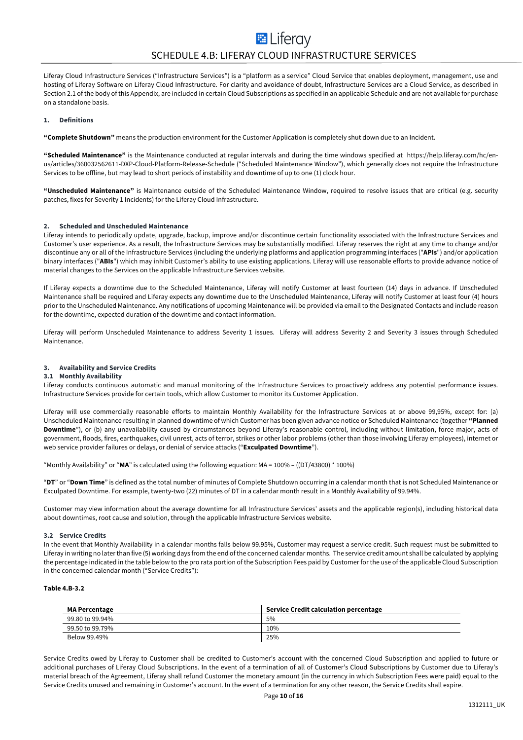Liferay Cloud Infrastructure Services ("Infrastructure Services") is a "platform as a service" Cloud Service that enables deployment, management, use and hosting of Liferay Software on Liferay Cloud Infrastructure. For clarity and avoidance of doubt, Infrastructure Services are a Cloud Service, as described in Section 2.1 of the body of this Appendix, are included in certain Cloud Subscriptions as specified in an applicable Schedule and are not available for purchase on a standalone basis.

#### **1. Definitions**

**"Complete Shutdown"** means the production environment for the Customer Application is completely shut down due to an Incident.

**"Scheduled Maintenance"** is the Maintenance conducted at regular intervals and during the time windows specified at https://help.liferay.com/hc/enus/articles/360032562611-DXP-Cloud-Platform-Release-Schedule ("Scheduled Maintenance Window"), which generally does not require the Infrastructure Services to be offline, but may lead to short periods of instability and downtime of up to one (1) clock hour.

**"Unscheduled Maintenance"** is Maintenance outside of the Scheduled Maintenance Window, required to resolve issues that are critical (e.g. security patches, fixes for Severity 1 Incidents) for the Liferay Cloud Infrastructure.

#### **2. Scheduled and Unscheduled Maintenance**

Liferay intends to periodically update, upgrade, backup, improve and/or discontinue certain functionality associated with the Infrastructure Services and Customer's user experience. As a result, the Infrastructure Services may be substantially modified. Liferay reserves the right at any time to change and/or discontinue any or all of the Infrastructure Services (including the underlying platforms and application programming interfaces ("**APIs**") and/or application binary interfaces ("**ABIs**") which may inhibit Customer's ability to use existing applications. Liferay will use reasonable efforts to provide advance notice of material changes to the Services on the applicable Infrastructure Services website.

If Liferay expects a downtime due to the Scheduled Maintenance, Liferay will notify Customer at least fourteen (14) days in advance. If Unscheduled Maintenance shall be required and Liferay expects any downtime due to the Unscheduled Maintenance, Liferay will notify Customer at least four (4) hours prior to the Unscheduled Maintenance. Any notifications of upcoming Maintenance will be provided via email to the Designated Contacts and include reason for the downtime, expected duration of the downtime and contact information.

Liferay will perform Unscheduled Maintenance to address Severity 1 issues. Liferay will address Severity 2 and Severity 3 issues through Scheduled Maintenance.

#### **3. Availability and Service Credits**

#### **3.1 Monthly Availability**

Liferay conducts continuous automatic and manual monitoring of the Infrastructure Services to proactively address any potential performance issues. Infrastructure Services provide for certain tools, which allow Customer to monitor its Customer Application.

Liferay will use commercially reasonable efforts to maintain Monthly Availability for the Infrastructure Services at or above 99,95%, except for: (a) Unscheduled Maintenance resulting in planned downtime of which Customer has been given advance notice or Scheduled Maintenance (together **"Planned Downtime**"), or (b) any unavailability caused by circumstances beyond Liferay's reasonable control, including without limitation, force major, acts of government, floods, fires, earthquakes, civil unrest, acts of terror, strikes or other labor problems (other than those involving Liferay employees), internet or web service provider failures or delays, or denial of service attacks ("**Exculpated Downtime**").

"Monthly Availability" or "**MA**" is calculated using the following equation: MA = 100% – ((DT/43800) \* 100%)

"**DT**" or "**Down Time**" is defined as the total number of minutes of Complete Shutdown occurring in a calendar month that is not Scheduled Maintenance or Exculpated Downtime. For example, twenty-two (22) minutes of DT in a calendar month result in a Monthly Availability of 99.94%.

Customer may view information about the average downtime for all Infrastructure Services' assets and the applicable region(s), including historical data about downtimes, root cause and solution, through the applicable Infrastructure Services website.

#### **3.2 Service Credits**

In the event that Monthly Availability in a calendar months falls below 99.95%, Customer may request a service credit. Such request must be submitted to Liferay in writing no later than five (5) working days from the end of the concerned calendar months. The service credit amount shall be calculated by applying the percentage indicated in the table below to the pro rata portion of the Subscription Fees paid by Customer for the use of the applicable Cloud Subscription in the concerned calendar month ("Service Credits"):

#### **Table 4.B-3.2**

| <b>MA Percentage</b> | Service Credit calculation percentage |
|----------------------|---------------------------------------|
| 99.80 to 99.94%      | 5%                                    |
| 99.50 to 99.79%      | 10%                                   |
| Below 99.49%         | 25%                                   |

Service Credits owed by Liferay to Customer shall be credited to Customer's account with the concerned Cloud Subscription and applied to future or additional purchases of Liferay Cloud Subscriptions. In the event of a termination of all of Customer's Cloud Subscriptions by Customer due to Liferay's material breach of the Agreement, Liferay shall refund Customer the monetary amount (in the currency in which Subscription Fees were paid) equal to the Service Credits unused and remaining in Customer's account. In the event of a termination for any other reason, the Service Credits shall expire.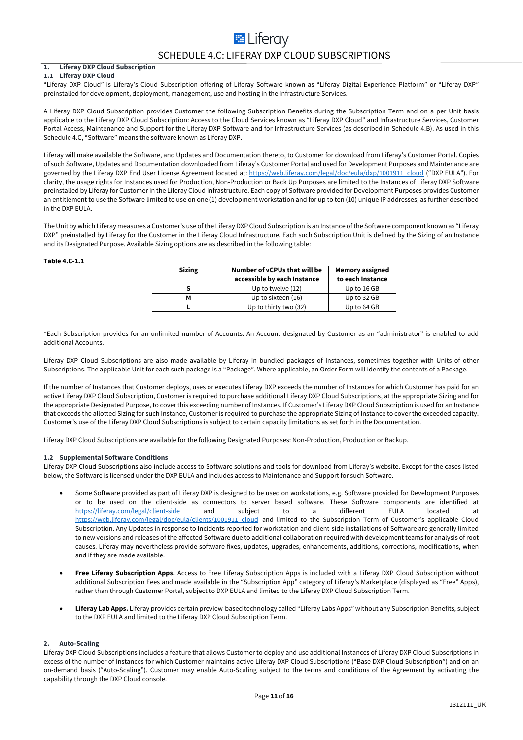## **E** Liferav SCHEDULE 4.C: LIFERAY DXP CLOUD SUBSCRIPTIONS

#### **1. Liferay DXP Cloud Subscription 1.1 Liferay DXP Cloud**

"Liferay DXP Cloud" is Liferay's Cloud Subscription offering of Liferay Software known as "Liferay Digital Experience Platform" or "Liferay DXP" preinstalled for development, deployment, management, use and hosting in the Infrastructure Services.

A Liferay DXP Cloud Subscription provides Customer the following Subscription Benefits during the Subscription Term and on a per Unit basis applicable to the Liferay DXP Cloud Subscription: Access to the Cloud Services known as "Liferay DXP Cloud" and Infrastructure Services, Customer Portal Access, Maintenance and Support for the Liferay DXP Software and for Infrastructure Services (as described in Schedule 4.B). As used in this Schedule 4.C, "Software" means the software known as Liferay DXP.

Liferay will make available the Software, and Updates and Documentation thereto, to Customer for download from Liferay's Customer Portal. Copies of such Software, Updates and Documentation downloaded from Liferay's Customer Portal and used for Development Purposes and Maintenance are governed by the Liferay DXP End User License Agreement located at: https://web.liferay.com/legal/doc/eula/dxp/1001911\_cloud ("DXP EULA"). For clarity, the usage rights for Instances used for Production, Non-Production or Back Up Purposes are limited to the Instances of Liferay DXP Software preinstalled by Liferay for Customer in the Liferay Cloud Infrastructure. Each copy of Software provided for Development Purposes provides Customer an entitlement to use the Software limited to use on one (1) development workstation and for up to ten (10) unique IP addresses, as further described in the DXP EULA.

The Unit by which Liferay measures a Customer's use of the Liferay DXP Cloud Subscription is an Instance of the Software component known as "Liferay DXP" preinstalled by Liferay for the Customer in the Liferay Cloud Infrastructure. Each such Subscription Unit is defined by the Sizing of an Instance and its Designated Purpose. Available Sizing options are as described in the following table:

#### **Table 4.C-1.1**

| <b>Sizing</b> | Number of vCPUs that will be<br>accessible by each Instance | <b>Memory assigned</b><br>to each Instance |
|---------------|-------------------------------------------------------------|--------------------------------------------|
|               | Up to twelve (12)                                           | Up to 16 GB                                |
| м             | Up to sixteen (16)                                          | Up to 32 GB                                |
|               | Up to thirty two (32)                                       | Up to 64 GB                                |

\*Each Subscription provides for an unlimited number of Accounts. An Account designated by Customer as an "administrator" is enabled to add additional Accounts.

Liferay DXP Cloud Subscriptions are also made available by Liferay in bundled packages of Instances, sometimes together with Units of other Subscriptions. The applicable Unit for each such package is a "Package". Where applicable, an Order Form will identify the contents of a Package.

If the number of Instances that Customer deploys, uses or executes Liferay DXP exceeds the number of Instances for which Customer has paid for an active Liferay DXP Cloud Subscription, Customer is required to purchase additional Liferay DXP Cloud Subscriptions, at the appropriate Sizing and for the appropriate Designated Purpose, to cover this exceeding number of Instances. If Customer's Liferay DXP Cloud Subscription is used for an Instance that exceeds the allotted Sizing for such Instance, Customer is required to purchase the appropriate Sizing of Instance to cover the exceeded capacity. Customer's use of the Liferay DXP Cloud Subscriptions is subject to certain capacity limitations as set forth in the Documentation.

Liferay DXP Cloud Subscriptions are available for the following Designated Purposes: Non-Production, Production or Backup.

#### **1.2 Supplemental Software Conditions**

Liferay DXP Cloud Subscriptions also include access to Software solutions and tools for download from Liferay's website. Except for the cases listed below, the Software is licensed under the DXP EULA and includes access to Maintenance and Support for such Software.

- Some Software provided as part of Liferay DXP is designed to be used on workstations, e.g. Software provided for Development Purposes or to be used on the client-side as connectors to server based software. These Software components are identified at https://liferay.com/legal/client-side and subject to a different EULA located at https://web.liferay.com/legal/doc/eula/clients/1001911\_cloud and limited to the Subscription Term of Customer's applicable Cloud Subscription. Any Updates in response to Incidents reported for workstation and client-side installations of Software are generally limited to new versions and releases of the affected Software due to additional collaboration required with development teams for analysis of root causes. Liferay may nevertheless provide software fixes, updates, upgrades, enhancements, additions, corrections, modifications, when and if they are made available.
- **Free Liferay Subscription Apps.** Access to Free Liferay Subscription Apps is included with a Liferay DXP Cloud Subscription without additional Subscription Fees and made available in the "Subscription App" category of Liferay's Marketplace (displayed as "Free" Apps), rather than through Customer Portal, subject to DXP EULA and limited to the Liferay DXP Cloud Subscription Term.
- **Liferay Lab Apps.** Liferay provides certain preview-based technology called "Liferay Labs Apps" without any Subscription Benefits, subject to the DXP EULA and limited to the Liferay DXP Cloud Subscription Term.

#### **2. Auto-Scaling**

Liferay DXP Cloud Subscriptions includes a feature that allows Customer to deploy and use additional Instances of Liferay DXP Cloud Subscriptions in excess of the number of Instances for which Customer maintains active Liferay DXP Cloud Subscriptions ("Base DXP Cloud Subscription") and on an on-demand basis ("Auto-Scaling"). Customer may enable Auto-Scaling subject to the terms and conditions of the Agreement by activating the capability through the DXP Cloud console.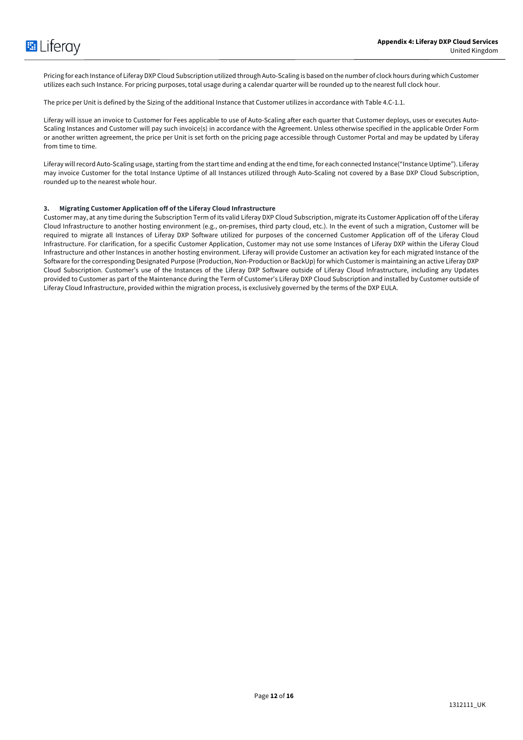Pricing for each Instance of Liferay DXP Cloud Subscription utilized through Auto-Scaling is based on the number of clock hours during which Customer utilizes each such Instance. For pricing purposes, total usage during a calendar quarter will be rounded up to the nearest full clock hour.

The price per Unit is defined by the Sizing of the additional Instance that Customer utilizes in accordance with Table 4.C-1.1.

Liferay will issue an invoice to Customer for Fees applicable to use of Auto-Scaling after each quarter that Customer deploys, uses or executes Auto-Scaling Instances and Customer will pay such invoice(s) in accordance with the Agreement. Unless otherwise specified in the applicable Order Form or another written agreement, the price per Unit is set forth on the pricing page accessible through Customer Portal and may be updated by Liferay from time to time.

Liferay will record Auto-Scaling usage, starting from the start time and ending at the end time, for each connected Instance("Instance Uptime"). Liferay may invoice Customer for the total Instance Uptime of all Instances utilized through Auto-Scaling not covered by a Base DXP Cloud Subscription, rounded up to the nearest whole hour.

### **3. Migrating Customer Application off of the Liferay Cloud Infrastructure**

Customer may, at any time during the Subscription Term of its valid Liferay DXP Cloud Subscription, migrate its Customer Application off of the Liferay Cloud Infrastructure to another hosting environment (e.g., on-premises, third party cloud, etc.). In the event of such a migration, Customer will be required to migrate all Instances of Liferay DXP Software utilized for purposes of the concerned Customer Application off of the Liferay Cloud Infrastructure. For clarification, for a specific Customer Application, Customer may not use some Instances of Liferay DXP within the Liferay Cloud Infrastructure and other Instances in another hosting environment. Liferay will provide Customer an activation key for each migrated Instance of the Software for the corresponding Designated Purpose (Production, Non-Production or BackUp) for which Customer is maintaining an active Liferay DXP Cloud Subscription. Customer's use of the Instances of the Liferay DXP Software outside of Liferay Cloud Infrastructure, including any Updates provided to Customer as part of the Maintenance during the Term of Customer's Liferay DXP Cloud Subscription and installed by Customer outside of Liferay Cloud Infrastructure, provided within the migration process, is exclusively governed by the terms of the DXP EULA.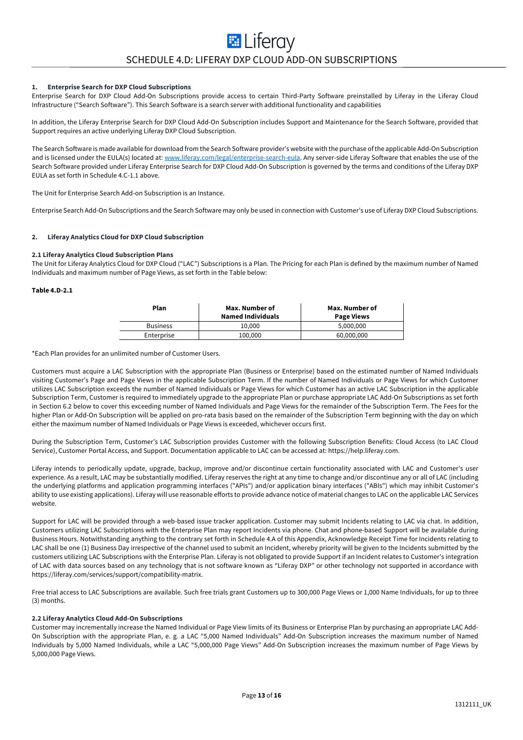## **EL** Liferay SCHEDULE 4.D: LIFERAY DXP CLOUD ADD-ON SUBSCRIPTIONS

#### **1. Enterprise Search for DXP Cloud Subscriptions**

Enterprise Search for DXP Cloud Add-On Subscriptions provide access to certain Third-Party Software preinstalled by Liferay in the Liferay Cloud Infrastructure ("Search Software"). This Search Software is a search server with additional functionality and capabilities

In addition, the Liferay Enterprise Search for DXP Cloud Add-On Subscription includes Support and Maintenance for the Search Software, provided that Support requires an active underlying Liferay DXP Cloud Subscription.

The Search Software is made available for download from the Search Software provider's website with the purchase of the applicable Add-On Subscription and is licensed under the EULA(s) located at: www.liferay.com/legal/enterprise-search-eula. Any server-side Liferay Software that enables the use of the Search Software provided under Liferay Enterprise Search for DXP Cloud Add-On Subscription is governed by the terms and conditions of the Liferay DXP EULA as set forth in Schedule 4.C-1.1 above.

The Unit for Enterprise Search Add-on Subscription is an Instance.

Enterprise Search Add-On Subscriptions and the Search Software may only be used in connection with Customer's use of Liferay DXP Cloud Subscriptions.

#### **2. Liferay Analytics Cloud for DXP Cloud Subscription**

#### **2.1 Liferay Analytics Cloud Subscription Plans**

The Unit for Liferay Analytics Cloud for DXP Cloud ("LAC") Subscriptions is a Plan. The Pricing for each Plan is defined by the maximum number of Named Individuals and maximum number of Page Views, as set forth in the Table below:

#### **Table 4.D-2.1**

| Plan            | Max. Number of<br><b>Named Individuals</b> | Max. Number of<br><b>Page Views</b> |
|-----------------|--------------------------------------------|-------------------------------------|
| <b>Business</b> | 10.000                                     | 5,000,000                           |
| Enterprise      | 100,000                                    | 60,000,000                          |

\*Each Plan provides for an unlimited number of Customer Users.

Customers must acquire a LAC Subscription with the appropriate Plan (Business or Enterprise) based on the estimated number of Named Individuals visiting Customer's Page and Page Views in the applicable Subscription Term. If the number of Named Individuals or Page Views for which Customer utilizes LAC Subscription exceeds the number of Named Individuals or Page Views for which Customer has an active LAC Subscription in the applicable Subscription Term, Customer is required to immediately upgrade to the appropriate Plan or purchase appropriate LAC Add-On Subscriptions as set forth in Section 6.2 below to cover this exceeding number of Named Individuals and Page Views for the remainder of the Subscription Term. The Fees for the higher Plan or Add-On Subscription will be applied on pro-rata basis based on the remainder of the Subscription Term beginning with the day on which either the maximum number of Named Individuals or Page Views is exceeded, whichever occurs first.

During the Subscription Term, Customer's LAC Subscription provides Customer with the following Subscription Benefits: Cloud Access (to LAC Cloud Service), Customer Portal Access, and Support. Documentation applicable to LAC can be accessed at: https://help.liferay.com.

Liferay intends to periodically update, upgrade, backup, improve and/or discontinue certain functionality associated with LAC and Customer's user experience. As a result, LAC may be substantially modified. Liferay reserves the right at any time to change and/or discontinue any or all of LAC (including the underlying platforms and application programming interfaces ("APIs") and/or application binary interfaces ("ABIs") which may inhibit Customer's ability to use existing applications). Liferay will use reasonable efforts to provide advance notice of material changes to LAC on the applicable LAC Services website.

Support for LAC will be provided through a web-based issue tracker application. Customer may submit Incidents relating to LAC via chat. In addition, Customers utilizing LAC Subscriptions with the Enterprise Plan may report Incidents via phone. Chat and phone-based Support will be available during Business Hours. Notwithstanding anything to the contrary set forth in Schedule 4.A of this Appendix, Acknowledge Receipt Time for Incidents relating to LAC shall be one (1) Business Day irrespective of the channel used to submit an Incident, whereby priority will be given to the Incidents submitted by the customers utilizing LAC Subscriptions with the Enterprise Plan. Liferay is not obligated to provide Support if an Incident relates to Customer's integration of LAC with data sources based on any technology that is not software known as "Liferay DXP" or other technology not supported in accordance with https://liferay.com/services/support/compatibility-matrix.

Free trial access to LAC Subscriptions are available. Such free trials grant Customers up to 300,000 Page Views or 1,000 Name Individuals, for up to three (3) months.

#### **2.2 Liferay Analytics Cloud Add-On Subscriptions**

Customer may incrementally increase the Named Individual or Page View limits of its Business or Enterprise Plan by purchasing an appropriate LAC Add-On Subscription with the appropriate Plan, e. g. a LAC "5,000 Named Individuals" Add-On Subscription increases the maximum number of Named Individuals by 5,000 Named Individuals, while a LAC "5,000,000 Page Views" Add-On Subscription increases the maximum number of Page Views by 5,000,000 Page Views.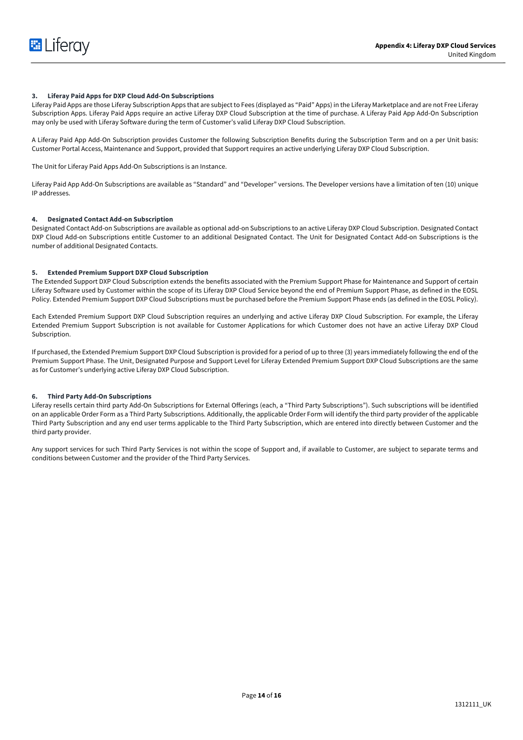

#### **3. Liferay Paid Apps for DXP Cloud Add-On Subscriptions**

Liferay Paid Apps are those Liferay Subscription Apps that are subject to Fees (displayed as "Paid" Apps) in the Liferay Marketplace and are not Free Liferay Subscription Apps. Liferay Paid Apps require an active Liferay DXP Cloud Subscription at the time of purchase. A Liferay Paid App Add-On Subscription may only be used with Liferay Software during the term of Customer's valid Liferay DXP Cloud Subscription.

A Liferay Paid App Add-On Subscription provides Customer the following Subscription Benefits during the Subscription Term and on a per Unit basis: Customer Portal Access, Maintenance and Support, provided that Support requires an active underlying Liferay DXP Cloud Subscription.

The Unit for Liferay Paid Apps Add-On Subscriptions is an Instance.

Liferay Paid App Add-On Subscriptions are available as "Standard" and "Developer" versions. The Developer versions have a limitation of ten (10) unique IP addresses.

#### **4. Designated Contact Add-on Subscription**

Designated Contact Add-on Subscriptions are available as optional add-on Subscriptions to an active Liferay DXP Cloud Subscription. Designated Contact DXP Cloud Add-on Subscriptions entitle Customer to an additional Designated Contact. The Unit for Designated Contact Add-on Subscriptions is the number of additional Designated Contacts.

#### **5. Extended Premium Support DXP Cloud Subscription**

The Extended Support DXP Cloud Subscription extends the benefits associated with the Premium Support Phase for Maintenance and Support of certain Liferay Software used by Customer within the scope of its Liferay DXP Cloud Service beyond the end of Premium Support Phase, as defined in the EOSL Policy. Extended Premium Support DXP Cloud Subscriptions must be purchased before the Premium Support Phase ends (as defined in the EOSL Policy).

Each Extended Premium Support DXP Cloud Subscription requires an underlying and active Liferay DXP Cloud Subscription. For example, the Liferay Extended Premium Support Subscription is not available for Customer Applications for which Customer does not have an active Liferay DXP Cloud Subscription.

If purchased, the Extended Premium Support DXP Cloud Subscription is provided for a period of up to three (3) years immediately following the end of the Premium Support Phase. The Unit, Designated Purpose and Support Level for Liferay Extended Premium Support DXP Cloud Subscriptions are the same as for Customer's underlying active Liferay DXP Cloud Subscription.

#### **6. Third Party Add-On Subscriptions**

Liferay resells certain third party Add-On Subscriptions for External Offerings (each, a "Third Party Subscriptions"). Such subscriptions will be identified on an applicable Order Form as a Third Party Subscriptions. Additionally, the applicable Order Form will identify the third party provider of the applicable Third Party Subscription and any end user terms applicable to the Third Party Subscription, which are entered into directly between Customer and the third party provider.

Any support services for such Third Party Services is not within the scope of Support and, if available to Customer, are subject to separate terms and conditions between Customer and the provider of the Third Party Services.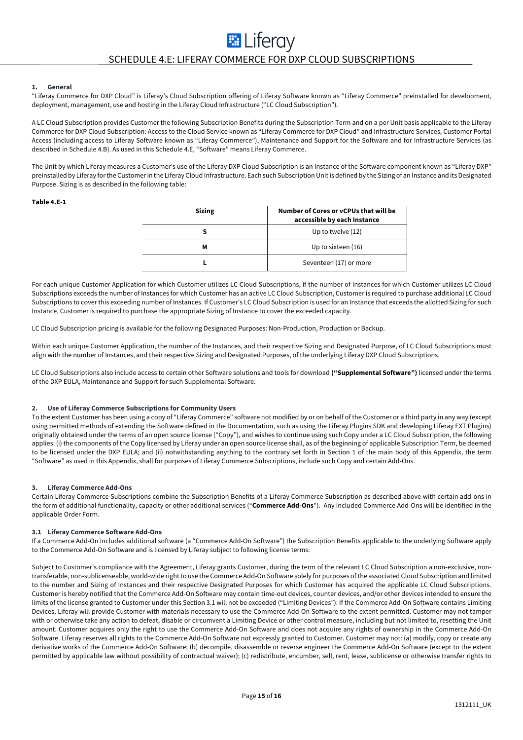# **EL** Liferay SCHEDULE 4.E: LIFERAY COMMERCE FOR DXP CLOUD SUBSCRIPTIONS

#### **1. General**

"Liferay Commerce for DXP Cloud" is Liferay's Cloud Subscription offering of Liferay Software known as "Liferay Commerce" preinstalled for development, deployment, management, use and hosting in the Liferay Cloud Infrastructure ("LC Cloud Subscription").

A LC Cloud Subscription provides Customer the following Subscription Benefits during the Subscription Term and on a per Unit basis applicable to the Liferay Commerce for DXP Cloud Subscription: Access to the Cloud Service known as "Liferay Commerce for DXP Cloud" and Infrastructure Services, Customer Portal Access (including access to Liferay Software known as "Liferay Commerce"), Maintenance and Support for the Software and for Infrastructure Services (as described in Schedule 4.B). As used in this Schedule 4.E, "Software" means Liferay Commerce.

The Unit by which Liferay measures a Customer's use of the Liferay DXP Cloud Subscription is an Instance of the Software component known as "Liferay DXP" preinstalled by Liferay for the Customer in the Liferay Cloud Infrastructure. Each such Subscription Unit is defined by the Sizing of an Instance and its Designated Purpose. Sizing is as described in the following table:

#### **Table 4.E-1**

| <b>Sizing</b> | Number of Cores or yCPUs that will be<br>accessible by each Instance |
|---------------|----------------------------------------------------------------------|
|               | Up to twelve (12)                                                    |
| м             | Up to sixteen (16)                                                   |
|               | Seventeen (17) or more                                               |

For each unique Customer Application for which Customer utilizes LC Cloud Subscriptions, if the number of Instances for which Customer utilizes LC Cloud Subscriptions exceeds the number of Instances for which Customer has an active LC Cloud Subscription, Customer is required to purchase additional LC Cloud Subscriptions to cover this exceeding number of Instances. If Customer's LC Cloud Subscription is used for an Instance that exceeds the allotted Sizing for such Instance, Customer is required to purchase the appropriate Sizing of Instance to cover the exceeded capacity.

LC Cloud Subscription pricing is available for the following Designated Purposes: Non-Production, Production or Backup.

Within each unique Customer Application, the number of the Instances, and their respective Sizing and Designated Purpose, of LC Cloud Subscriptions must align with the number of Instances, and their respective Sizing and Designated Purposes, of the underlying Liferay DXP Cloud Subscriptions.

LC Cloud Subscriptions also include access to certain other Software solutions and tools for download **("Supplemental Software")** licensed under the terms of the DXP EULA, Maintenance and Support for such Supplemental Software.

#### **2. Use of Liferay Commerce Subscriptions for Community Users**

To the extent Customer has been using a copy of "Liferay Commerce" software not modified by or on behalf of the Customer or a third party in any way (except using permitted methods of extending the Software defined in the Documentation, such as using the Liferay Plugins SDK and developing Liferay EXT Plugins) originally obtained under the terms of an open source license ("Copy"), and wishes to continue using such Copy under a LC Cloud Subscription, the following applies: (i) the components of the Copy licensed by Liferay under an open source license shall, as of the beginning of applicable Subscription Term, be deemed to be licensed under the DXP EULA; and (ii) notwithstanding anything to the contrary set forth in Section 1 of the main body of this Appendix, the term "Software" as used in this Appendix, shall for purposes of Liferay Commerce Subscriptions, include such Copy and certain Add-Ons.

#### **3. Liferay Commerce Add-Ons**

Certain Liferay Commerce Subscriptions combine the Subscription Benefits of a Liferay Commerce Subscription as described above with certain add-ons in the form of additional functionality, capacity or other additional services ("**Commerce Add-Ons**"). Any included Commerce Add-Ons will be identified in the applicable Order Form.

#### **3.1 Liferay Commerce Software Add-Ons**

If a Commerce Add-On includes additional software (a "Commerce Add-On Software") the Subscription Benefits applicable to the underlying Software apply to the Commerce Add-On Software and is licensed by Liferay subject to following license terms:

Subject to Customer's compliance with the Agreement, Liferay grants Customer, during the term of the relevant LC Cloud Subscription a non-exclusive, nontransferable, non-sublicenseable, world-wide right to use the Commerce Add-On Software solely for purposes of the associated Cloud Subscription and limited to the number and Sizing of Instances and their respective Designated Purposes for which Customer has acquired the applicable LC Cloud Subscriptions. Customer is hereby notified that the Commerce Add-On Software may contain time-out devices, counter devices, and/or other devices intended to ensure the limits of the license granted to Customer under this Section 3.1 will not be exceeded ("Limiting Devices"). If the Commerce Add-On Software contains Limiting Devices, Liferay will provide Customer with materials necessary to use the Commerce Add-On Software to the extent permitted. Customer may not tamper with or otherwise take any action to defeat, disable or circumvent a Limiting Device or other control measure, including but not limited to, resetting the Unit amount. Customer acquires only the right to use the Commerce Add-On Software and does not acquire any rights of ownership in the Commerce Add-On Software. Liferay reserves all rights to the Commerce Add-On Software not expressly granted to Customer. Customer may not: (a) modify, copy or create any derivative works of the Commerce Add-On Software; (b) decompile, disassemble or reverse engineer the Commerce Add-On Software (except to the extent permitted by applicable law without possibility of contractual waiver); (c) redistribute, encumber, sell, rent, lease, sublicense or otherwise transfer rights to